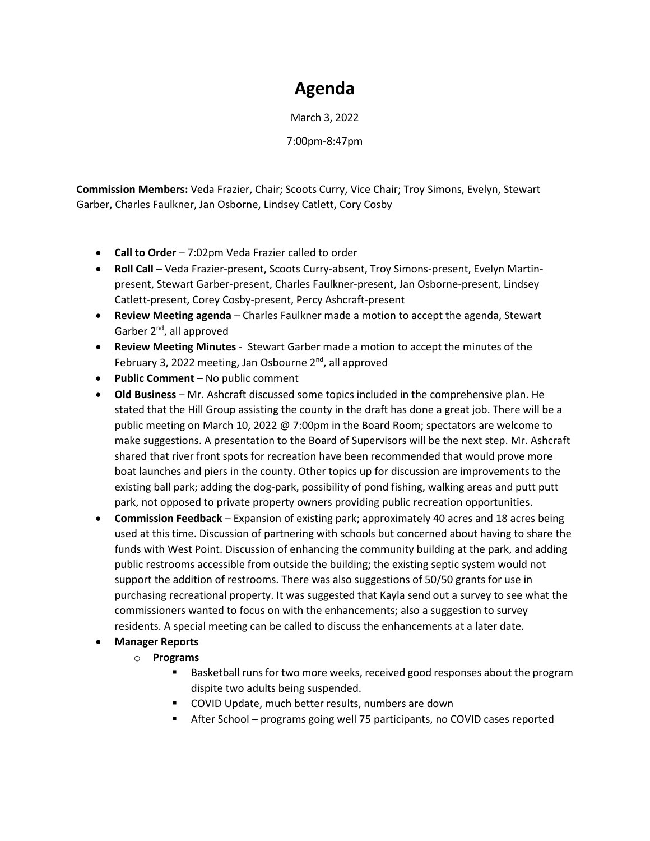## **Agenda**

March 3, 2022

7:00pm-8:47pm

**Commission Members:** Veda Frazier, Chair; Scoots Curry, Vice Chair; Troy Simons, Evelyn, Stewart Garber, Charles Faulkner, Jan Osborne, Lindsey Catlett, Cory Cosby

- **Call to Order** 7:02pm Veda Frazier called to order
- **Roll Call** Veda Frazier-present, Scoots Curry-absent, Troy Simons-present, Evelyn Martinpresent, Stewart Garber-present, Charles Faulkner-present, Jan Osborne-present, Lindsey Catlett-present, Corey Cosby-present, Percy Ashcraft-present
- **Review Meeting agenda** Charles Faulkner made a motion to accept the agenda, Stewart Garber 2<sup>nd</sup>, all approved
- **Review Meeting Minutes** Stewart Garber made a motion to accept the minutes of the February 3, 2022 meeting, Jan Osbourne 2<sup>nd</sup>, all approved
- **Public Comment** No public comment
- **Old Business** Mr. Ashcraft discussed some topics included in the comprehensive plan. He stated that the Hill Group assisting the county in the draft has done a great job. There will be a public meeting on March 10, 2022 @ 7:00pm in the Board Room; spectators are welcome to make suggestions. A presentation to the Board of Supervisors will be the next step. Mr. Ashcraft shared that river front spots for recreation have been recommended that would prove more boat launches and piers in the county. Other topics up for discussion are improvements to the existing ball park; adding the dog-park, possibility of pond fishing, walking areas and putt putt park, not opposed to private property owners providing public recreation opportunities.
- **Commission Feedback** Expansion of existing park; approximately 40 acres and 18 acres being used at this time. Discussion of partnering with schools but concerned about having to share the funds with West Point. Discussion of enhancing the community building at the park, and adding public restrooms accessible from outside the building; the existing septic system would not support the addition of restrooms. There was also suggestions of 50/50 grants for use in purchasing recreational property. It was suggested that Kayla send out a survey to see what the commissioners wanted to focus on with the enhancements; also a suggestion to survey residents. A special meeting can be called to discuss the enhancements at a later date.
- **Manager Reports**
	- o **Programs**
		- Basketball runs for two more weeks, received good responses about the program dispite two adults being suspended.
		- COVID Update, much better results, numbers are down
		- After School programs going well 75 participants, no COVID cases reported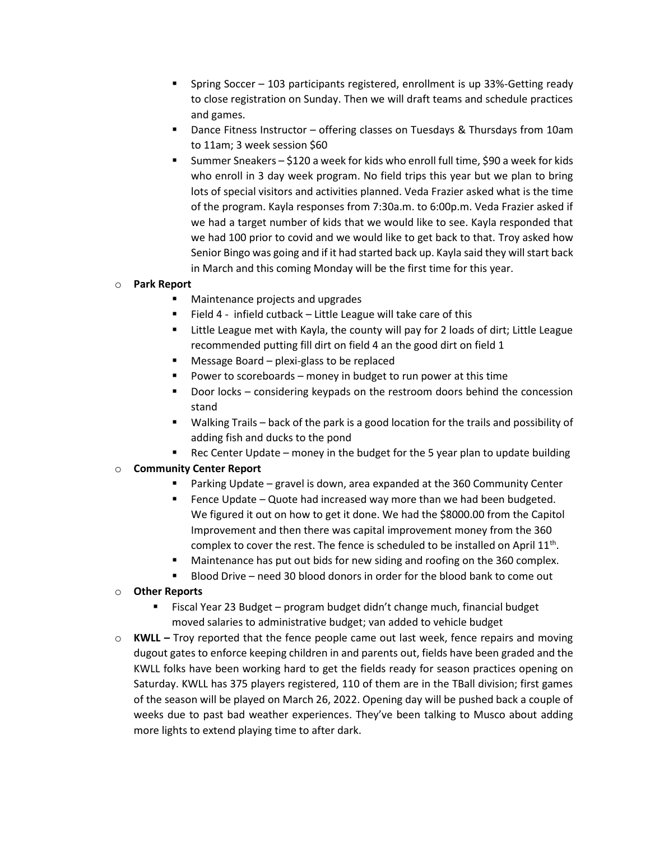- Spring Soccer 103 participants registered, enrollment is up  $33%$ -Getting ready to close registration on Sunday. Then we will draft teams and schedule practices and games.
- Dance Fitness Instructor offering classes on Tuesdays & Thursdays from 10am to 11am; 3 week session \$60
- Summer Sneakers \$120 a week for kids who enroll full time, \$90 a week for kids who enroll in 3 day week program. No field trips this year but we plan to bring lots of special visitors and activities planned. Veda Frazier asked what is the time of the program. Kayla responses from 7:30a.m. to 6:00p.m. Veda Frazier asked if we had a target number of kids that we would like to see. Kayla responded that we had 100 prior to covid and we would like to get back to that. Troy asked how Senior Bingo was going and if it had started back up. Kayla said they will start back in March and this coming Monday will be the first time for this year.

## o **Park Report**

- Maintenance projects and upgrades
- Field 4 infield cutback Little League will take care of this
- Little League met with Kayla, the county will pay for 2 loads of dirt; Little League recommended putting fill dirt on field 4 an the good dirt on field 1
- Message Board plexi-glass to be replaced
- Power to scoreboards money in budget to run power at this time
- Door locks considering keypads on the restroom doors behind the concession stand
- Walking Trails back of the park is a good location for the trails and possibility of adding fish and ducks to the pond
- Rec Center Update money in the budget for the 5 year plan to update building

## o **Community Center Report**

- Parking Update gravel is down, area expanded at the 360 Community Center
- Fence Update Quote had increased way more than we had been budgeted. We figured it out on how to get it done. We had the \$8000.00 from the Capitol Improvement and then there was capital improvement money from the 360 complex to cover the rest. The fence is scheduled to be installed on April  $11<sup>th</sup>$ .
- Maintenance has put out bids for new siding and roofing on the 360 complex.
- Blood Drive need 30 blood donors in order for the blood bank to come out

## o **Other Reports**

- Fiscal Year 23 Budget program budget didn't change much, financial budget moved salaries to administrative budget; van added to vehicle budget
- o **KWLL –** Troy reported that the fence people came out last week, fence repairs and moving dugout gates to enforce keeping children in and parents out, fields have been graded and the KWLL folks have been working hard to get the fields ready for season practices opening on Saturday. KWLL has 375 players registered, 110 of them are in the TBall division; first games of the season will be played on March 26, 2022. Opening day will be pushed back a couple of weeks due to past bad weather experiences. They've been talking to Musco about adding more lights to extend playing time to after dark.